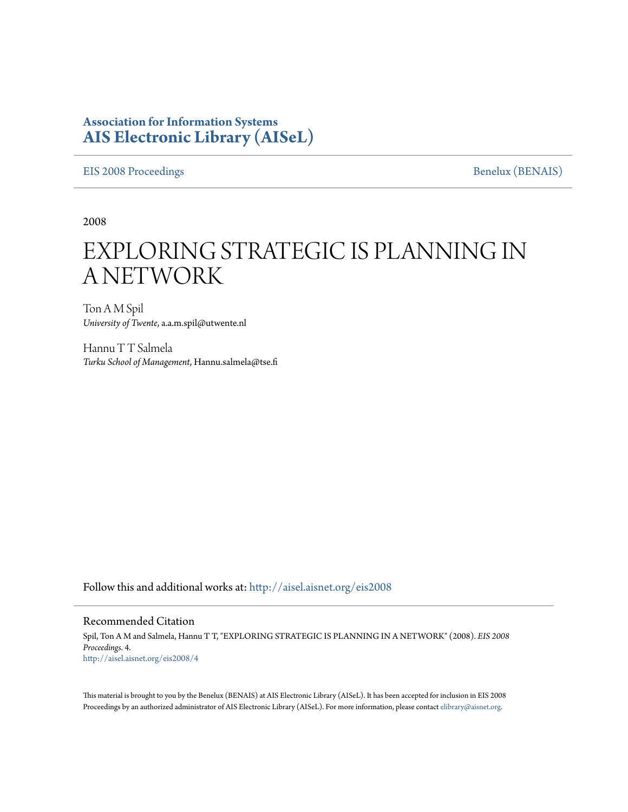## **Association for Information Systems [AIS Electronic Library \(AISeL\)](http://aisel.aisnet.org?utm_source=aisel.aisnet.org%2Feis2008%2F4&utm_medium=PDF&utm_campaign=PDFCoverPages)**

[EIS 2008 Proceedings](http://aisel.aisnet.org/eis2008?utm_source=aisel.aisnet.org%2Feis2008%2F4&utm_medium=PDF&utm_campaign=PDFCoverPages) [Benelux \(BENAIS\)](http://aisel.aisnet.org/benais?utm_source=aisel.aisnet.org%2Feis2008%2F4&utm_medium=PDF&utm_campaign=PDFCoverPages)

2008

# EXPLORING STRATEGIC IS PLANNING IN A NETWORK

Ton A M Spil *University of Twente*, a.a.m.spil@utwente.nl

Hannu T T Salmela *Turku School of Management*, Hannu.salmela@tse.fi

Follow this and additional works at: [http://aisel.aisnet.org/eis2008](http://aisel.aisnet.org/eis2008?utm_source=aisel.aisnet.org%2Feis2008%2F4&utm_medium=PDF&utm_campaign=PDFCoverPages)

#### Recommended Citation

Spil, Ton A M and Salmela, Hannu T T, "EXPLORING STRATEGIC IS PLANNING IN A NETWORK" (2008). *EIS 2008 Proceedings*. 4. [http://aisel.aisnet.org/eis2008/4](http://aisel.aisnet.org/eis2008/4?utm_source=aisel.aisnet.org%2Feis2008%2F4&utm_medium=PDF&utm_campaign=PDFCoverPages)

This material is brought to you by the Benelux (BENAIS) at AIS Electronic Library (AISeL). It has been accepted for inclusion in EIS 2008 Proceedings by an authorized administrator of AIS Electronic Library (AISeL). For more information, please contact [elibrary@aisnet.org](mailto:elibrary@aisnet.org%3E).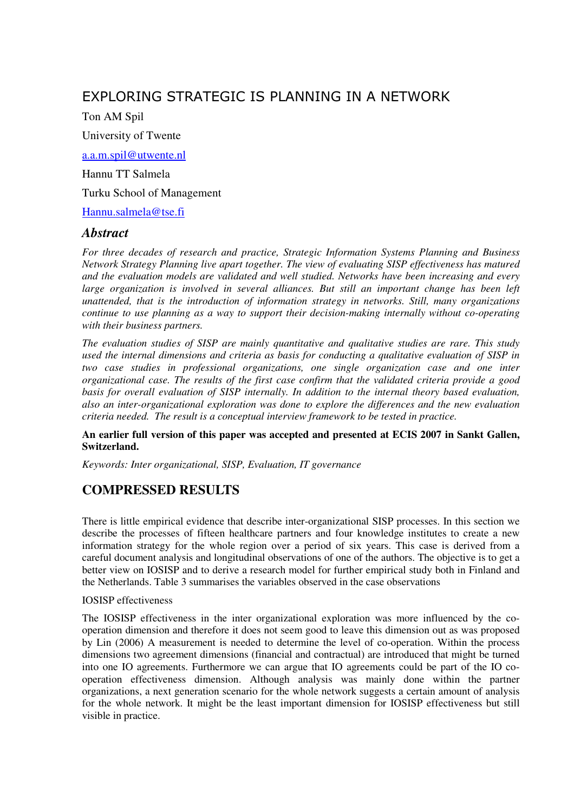# EXPLORING STRATEGIC IS PLANNING IN A NETWORK

Ton AM Spil

University of Twente

a.a.m.spil@utwente.nl

Hannu TT Salmela

Turku School of Management

Hannu.salmela@tse.fi

#### *Abstract*

*For three decades of research and practice, Strategic Information Systems Planning and Business Network Strategy Planning live apart together. The view of evaluating SISP effectiveness has matured and the evaluation models are validated and well studied. Networks have been increasing and every*  large organization is involved in several alliances. But still an important change has been left *unattended, that is the introduction of information strategy in networks. Still, many organizations continue to use planning as a way to support their decision-making internally without co-operating with their business partners.* 

*The evaluation studies of SISP are mainly quantitative and qualitative studies are rare. This study used the internal dimensions and criteria as basis for conducting a qualitative evaluation of SISP in two case studies in professional organizations, one single organization case and one inter organizational case. The results of the first case confirm that the validated criteria provide a good basis for overall evaluation of SISP internally. In addition to the internal theory based evaluation, also an inter-organizational exploration was done to explore the differences and the new evaluation criteria needed. The result is a conceptual interview framework to be tested in practice.* 

#### **An earlier full version of this paper was accepted and presented at ECIS 2007 in Sankt Gallen, Switzerland.**

*Keywords: Inter organizational, SISP, Evaluation, IT governance* 

### **COMPRESSED RESULTS**

There is little empirical evidence that describe inter-organizational SISP processes. In this section we describe the processes of fifteen healthcare partners and four knowledge institutes to create a new information strategy for the whole region over a period of six years. This case is derived from a careful document analysis and longitudinal observations of one of the authors. The objective is to get a better view on IOSISP and to derive a research model for further empirical study both in Finland and the Netherlands. Table 3 summarises the variables observed in the case observations

#### IOSISP effectiveness

The IOSISP effectiveness in the inter organizational exploration was more influenced by the cooperation dimension and therefore it does not seem good to leave this dimension out as was proposed by Lin (2006) A measurement is needed to determine the level of co-operation. Within the process dimensions two agreement dimensions (financial and contractual) are introduced that might be turned into one IO agreements. Furthermore we can argue that IO agreements could be part of the IO cooperation effectiveness dimension. Although analysis was mainly done within the partner organizations, a next generation scenario for the whole network suggests a certain amount of analysis for the whole network. It might be the least important dimension for IOSISP effectiveness but still visible in practice.